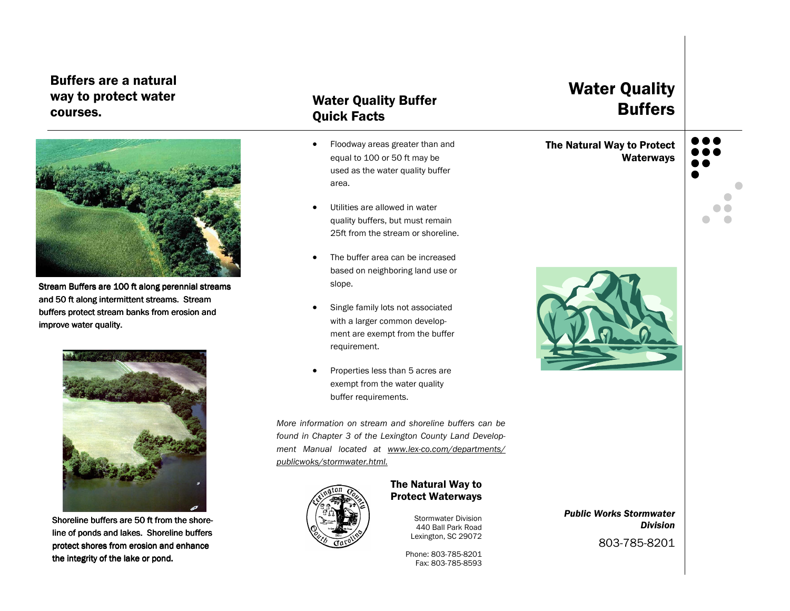### Buffers are a natural way to protect water courses.



Stream Buffers are 100 ft along perennial streams and 50 ft along intermittent streams. Stream buffers protect stream banks from erosion and improve water quality.



Shoreline buffers are 50 ft from the shoreline of ponds and lakes. Shoreline buffers protect shores from erosion and enhance the integrity of the lake or pond.

### Water Quality Buffer Quick Facts

- Floodway areas greater than and equal to 100 or 50 ft may be used as the water quality buffer area.
- Utilities are allowed in water quality buffers, but must remain 25ft from the stream or shoreline.
- The buffer area can be increased based on neighboring land use or slope.
- Single family lots not associated with a larger common development are exempt from the buffer requirement.
- Properties less than 5 acres are exempt from the water quality buffer requirements.

More information on stream and shoreline buffers can be found in Chapter 3 of the Lexington County Land Development Manual located at www.lex-co.com/departments/publicwoks/stormwater.html.



#### The Natural Way to Protect Waterways

Stormwater Division 440 Ball Park Road Lexington, SC 29072

Phone: 803-785-8201 Fax: 803-785-8593

## Water Quality Buffers

The Natural Way to Protect Waterways





Public Works Stormwater Division

803-785-8201